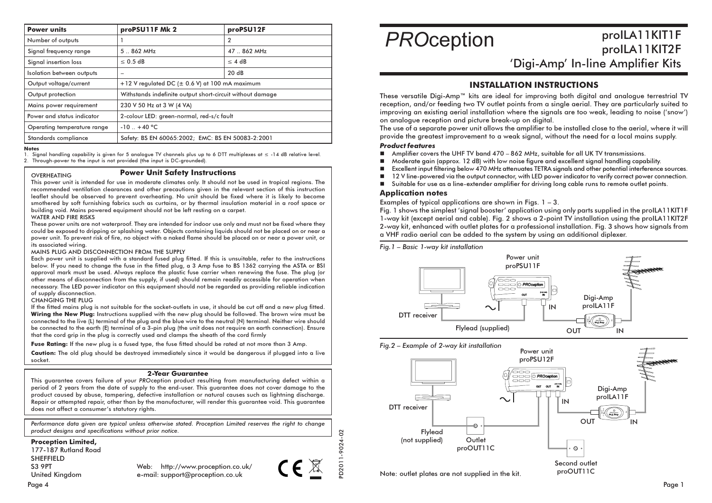| <b>Power units</b>          | proPSU11F Mk 2                                            | proPSU12F   |
|-----------------------------|-----------------------------------------------------------|-------------|
| Number of outputs           |                                                           | 2           |
| Signal frequency range      | $5.862$ MHz                                               | 47  862 MHz |
| Signal insertion loss       | $\leq$ 0.5 dB                                             | $\leq$ 4 dB |
| Isolation between outputs   |                                                           | 20dB        |
| Output voltage/current      | +12 V regulated DC (± 0.6 V) at 100 mA maximum            |             |
| Output protection           | Withstands indefinite output short-circuit without damage |             |
| Mains power requirement     | 230 V 50 Hz at 3 W (4 VA)                                 |             |
| Power and status indicator  | 2-colour LED: green-normal, red-s/c fault                 |             |
| Operating temperature range | $-10$ $+40$ °C                                            |             |
| Standards compliance        | Safety: BS EN 60065:2002; EMC: BS EN 50083-2:2001         |             |

**Notes** 

Signal handling capability is given for 5 analogue TV channels plus up to 6 DTT multiplexes at  $\leq$  -14 dB relative level.  $\mathbf{1}$  $2.$ Through-power to the input is not provided (the input is DC-grounded)

#### OVERHEATING

#### **Power Unit Safety Instructions**

This power unit is intended for use in moderate climates only. It should not be used in tropical regions. The recommended ventilation clearances and other precautions given in the relevant section of this instruction leaflet should be observed to prevent overheating. No unit should be fixed where it is likely to become smothered by soft furnishing fabrics such as curtains, or by thermal insulation material in a roof space or building void. Mains powered equipment should not be left resting on a carpet.

#### WATER AND FIRE RISKS

These power units are not waterproof. They are intended for indoor use only and must not be fixed where they could be exposed to dripping or splashing water. Objects containing liguids should not be placed on or near a power unit. To prevent risk of fire, no object with a naked flame should be placed on or near a power unit, or its associated wirina.

#### MAINS PLUG AND DISCONNECTION FROM THE SUPPLY

Each power unit is supplied with a standard fused plug fitted. If this is unsuitable, refer to the instructions below. If you need to change the fuse in the fitted plug, a 3 Amp fuse to BS 1362 carrying the ASTA or BSI approval mark must be used. Always replace the plastic fuse carrier when renewing the fuse. The plua (or other means of disconnection from the supply, if used) should remain readily accessible for operation when necessary. The LED power indicator on this equipment should not be regarded as providing reliable indication of supply disconnection.

### **CHANGING THE PLUG**

If the fitted mains plug is not suitable for the socket-outlets in use, it should be cut off and a new plug fitted. Wiring the New Plug: Instructions supplied with the new plug should be followed. The brown wire must be connected to the live (L) terminal of the plug and the blue wire to the neutral (N) terminal. Neither wire should be connected to the earth (E) terminal of a 3-pin plug (the unit does not require an earth connection). Ensure that the cord grip in the plug is correctly used and clamps the sheath of the cord firmly

Fuse Rating: If the new plug is a fused type, the fuse fitted should be rated at not more than 3 Amp.

Caution: The old plug should be destroyed immediately since it would be dangerous if plugged into a live socket.

#### **2-Year Guarantee**

This augrantee covers failure of your PROception product resulting from manufacturing defect within a period of 2 years from the date of supply to the end-user. This quarantee does not cover damage to the product caused by abuse, tampering, defective installation or natural causes such as lightning discharge. Repair or attempted repair, other than by the manufacturer, will render this guarantee void. This guarantee does not affect a consumer's statutory rights.

Performance data given are typical unless otherwise stated. Proception Limited reserves the right to change product designs and specifications without prior notice.

#### **Proception Limited,**

177-187 Rutland Road **SHEFFIELD S3 9PT United Kingdom** 

Web: http://www.proception.co.uk/ e-mail: support@proception.co.uk



# prolLA11KIT1F **PROception** prolLA11KIT2F

'Digi-Amp' In-line Amplifier Kits

# **INSTALLATION INSTRUCTIONS**

These versatile Digi-Amp™ kits are ideal for improving both digital and analogue terrestrial TV reception, and/or feeding two TV outlet points from a single aerial. They are particularly suited to improving an existing aerial installation where the signals are too weak, leading to noise ('snow') on analogue reception and picture break-up on digital.

The use of a separate power unit allows the amplifier to be installed close to the aerial, where it will provide the greatest improvement to a weak signal, without the need for a local mains supply.

### **Product features**

- $\blacksquare$ Amplifier covers the UHF TV band 470 – 862 MHz, suitable for all UK TV transmissions.
- Moderate gain (approx. 12 dB) with low noise figure and excellent signal handling capability.
- Excellent input filtering below 470 MHz attenuates TETRA signals and other potential interference sources.
- 12 V line-powered via the output connector, with LED power indicator to verify correct power connection.
- Suitable for use as a line-extender amplifier for driving long cable runs to remote outlet points.  $\blacksquare$

#### **Application notes**

Examples of typical applications are shown in Figs.  $1 - 3$ .

Fig. 1 shows the simplest 'signal booster' application using only parts supplied in the proILA11KIT1F 1-way kit (except aerial and cable). Fig. 2 shows a 2-point TV installation using the proILA11KIT2F 2-way kit, enhanced with outlet plates for a professional installation. Fig. 3 shows how signals from a VHF radio aerial can be added to the system by using an additional diplexer.

Fia. 1 - Basic 1-way kit installation



#### Fig.2 - Example of 2-way kit installation



proOUT11C

Note: outlet plates are not supplied in the kit.